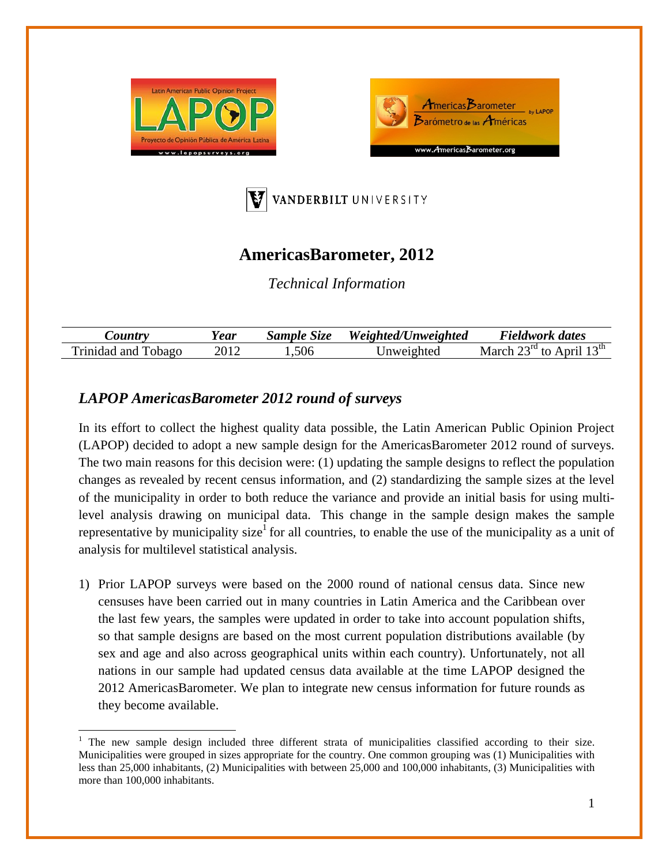





# **AmericasBarometer, 2012**

*Technical Information* 

| $\mathcal{L}$ ountry   | ear! | Sample Size | Weighted/Unweighted | Fieldwork dates                                                             |
|------------------------|------|-------------|---------------------|-----------------------------------------------------------------------------|
| Trinidad and<br>Tobago |      | .506        | Jnweighted          | $\gamma$ <sup>nd</sup> to A <sub>L</sub><br>April $13^{\text{th}}$<br>March |

## *LAPOP AmericasBarometer 2012 round of surveys*

In its effort to collect the highest quality data possible, the Latin American Public Opinion Project (LAPOP) decided to adopt a new sample design for the AmericasBarometer 2012 round of surveys. The two main reasons for this decision were: (1) updating the sample designs to reflect the population changes as revealed by recent census information, and (2) standardizing the sample sizes at the level of the municipality in order to both reduce the variance and provide an initial basis for using multilevel analysis drawing on municipal data. This change in the sample design makes the sample representative by municipality size<sup>1</sup> for all countries, to enable the use of the municipality as a unit of analysis for multilevel statistical analysis.

1) Prior LAPOP surveys were based on the 2000 round of national census data. Since new censuses have been carried out in many countries in Latin America and the Caribbean over the last few years, the samples were updated in order to take into account population shifts, so that sample designs are based on the most current population distributions available (by sex and age and also across geographical units within each country). Unfortunately, not all nations in our sample had updated census data available at the time LAPOP designed the 2012 AmericasBarometer. We plan to integrate new census information for future rounds as they become available.

<sup>1</sup> The new sample design included three different strata of municipalities classified according to their size. Municipalities were grouped in sizes appropriate for the country. One common grouping was (1) Municipalities with less than 25,000 inhabitants, (2) Municipalities with between 25,000 and 100,000 inhabitants, (3) Municipalities with more than 100,000 inhabitants.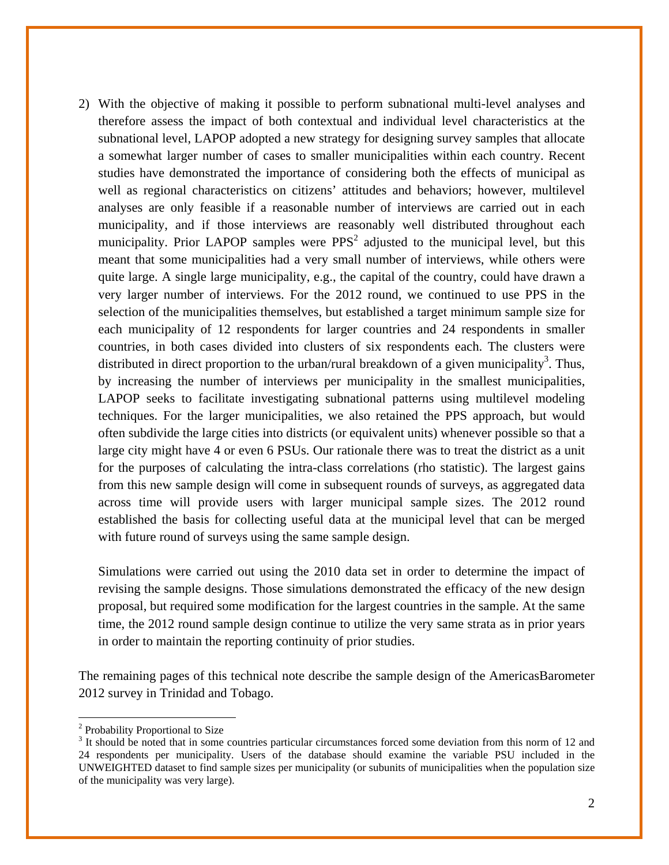2) With the objective of making it possible to perform subnational multi-level analyses and therefore assess the impact of both contextual and individual level characteristics at the subnational level, LAPOP adopted a new strategy for designing survey samples that allocate a somewhat larger number of cases to smaller municipalities within each country. Recent studies have demonstrated the importance of considering both the effects of municipal as well as regional characteristics on citizens' attitudes and behaviors; however, multilevel analyses are only feasible if a reasonable number of interviews are carried out in each municipality, and if those interviews are reasonably well distributed throughout each municipality. Prior LAPOP samples were  $PPS<sup>2</sup>$  adjusted to the municipal level, but this meant that some municipalities had a very small number of interviews, while others were quite large. A single large municipality, e.g., the capital of the country, could have drawn a very larger number of interviews. For the 2012 round, we continued to use PPS in the selection of the municipalities themselves, but established a target minimum sample size for each municipality of 12 respondents for larger countries and 24 respondents in smaller countries, in both cases divided into clusters of six respondents each. The clusters were distributed in direct proportion to the urban/rural breakdown of a given municipality<sup>3</sup>. Thus, by increasing the number of interviews per municipality in the smallest municipalities, LAPOP seeks to facilitate investigating subnational patterns using multilevel modeling techniques. For the larger municipalities, we also retained the PPS approach, but would often subdivide the large cities into districts (or equivalent units) whenever possible so that a large city might have 4 or even 6 PSUs. Our rationale there was to treat the district as a unit for the purposes of calculating the intra-class correlations (rho statistic). The largest gains from this new sample design will come in subsequent rounds of surveys, as aggregated data across time will provide users with larger municipal sample sizes. The 2012 round established the basis for collecting useful data at the municipal level that can be merged with future round of surveys using the same sample design.

Simulations were carried out using the 2010 data set in order to determine the impact of revising the sample designs. Those simulations demonstrated the efficacy of the new design proposal, but required some modification for the largest countries in the sample. At the same time, the 2012 round sample design continue to utilize the very same strata as in prior years in order to maintain the reporting continuity of prior studies.

The remaining pages of this technical note describe the sample design of the AmericasBarometer 2012 survey in Trinidad and Tobago.

<sup>&</sup>lt;sup>2</sup> Probability Proportional to Size

<sup>&</sup>lt;sup>3</sup> It should be noted that in some countries particular circumstances forced some deviation from this norm of 12 and 24 respondents per municipality. Users of the database should examine the variable PSU included in the UNWEIGHTED dataset to find sample sizes per municipality (or subunits of municipalities when the population size of the municipality was very large).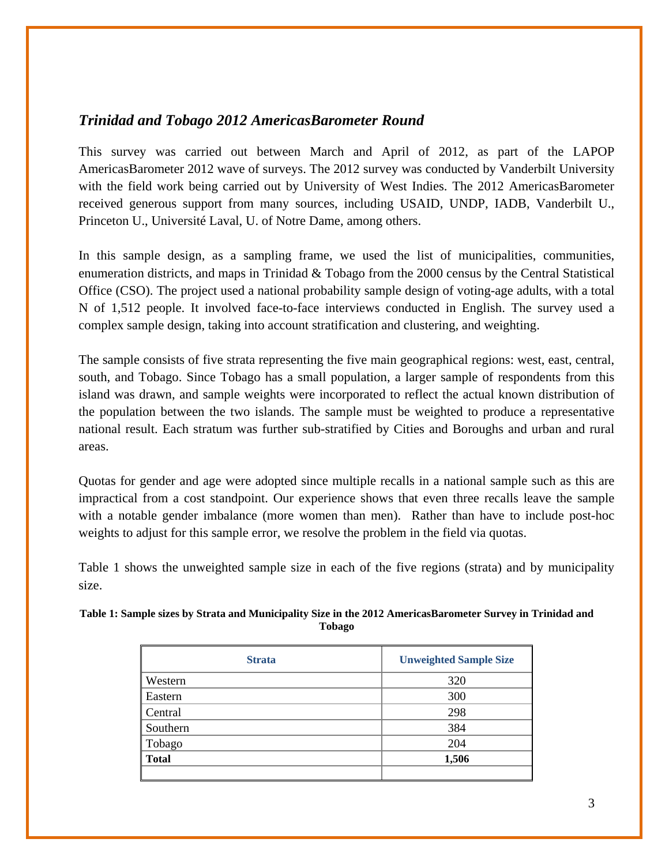#### *Trinidad and Tobago 2012 AmericasBarometer Round*

This survey was carried out between March and April of 2012, as part of the LAPOP AmericasBarometer 2012 wave of surveys. The 2012 survey was conducted by Vanderbilt University with the field work being carried out by University of West Indies. The 2012 AmericasBarometer received generous support from many sources, including USAID, UNDP, IADB, Vanderbilt U., Princeton U., Université Laval, U. of Notre Dame, among others.

In this sample design, as a sampling frame, we used the list of municipalities, communities, enumeration districts, and maps in Trinidad & Tobago from the 2000 census by the Central Statistical Office (CSO). The project used a national probability sample design of voting-age adults, with a total N of 1,512 people. It involved face-to-face interviews conducted in English. The survey used a complex sample design, taking into account stratification and clustering, and weighting.

The sample consists of five strata representing the five main geographical regions: west, east, central, south, and Tobago. Since Tobago has a small population, a larger sample of respondents from this island was drawn, and sample weights were incorporated to reflect the actual known distribution of the population between the two islands. The sample must be weighted to produce a representative national result. Each stratum was further sub-stratified by Cities and Boroughs and urban and rural areas.

Quotas for gender and age were adopted since multiple recalls in a national sample such as this are impractical from a cost standpoint. Our experience shows that even three recalls leave the sample with a notable gender imbalance (more women than men). Rather than have to include post-hoc weights to adjust for this sample error, we resolve the problem in the field via quotas.

Table 1 shows the unweighted sample size in each of the five regions (strata) and by municipality size.

| 320<br>300 |
|------------|
|            |
|            |
| 298        |
| 384        |
| 204        |
| 1,506      |
|            |

#### **Table 1: Sample sizes by Strata and Municipality Size in the 2012 AmericasBarometer Survey in Trinidad and Tobago**